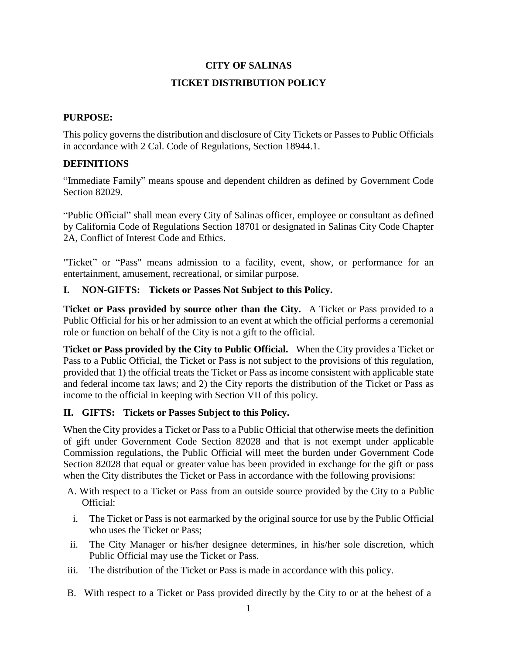# **CITY OF SALINAS TICKET DISTRIBUTION POLICY**

### **PURPOSE:**

This policy governs the distribution and disclosure of City Tickets or Passes to Public Officials in accordance with 2 Cal. Code of Regulations, Section 18944.1.

### **DEFINITIONS**

"Immediate Family" means spouse and dependent children as defined by Government Code Section 82029.

"Public Official" shall mean every City of Salinas officer, employee or consultant as defined by California Code of Regulations Section 18701 or designated in Salinas City Code Chapter 2A, Conflict of Interest Code and Ethics.

"Ticket" or "Pass" means admission to a facility, event, show, or performance for an entertainment, amusement, recreational, or similar purpose.

### **I. NON-GIFTS: Tickets or Passes Not Subject to this Policy.**

**Ticket or Pass provided by source other than the City.** A Ticket or Pass provided to a Public Official for his or her admission to an event at which the official performs a ceremonial role or function on behalf of the City is not a gift to the official.

**Ticket or Pass provided by the City to Public Official.** When the City provides a Ticket or Pass to a Public Official, the Ticket or Pass is not subject to the provisions of this regulation, provided that 1) the official treats the Ticket or Pass as income consistent with applicable state and federal income tax laws; and 2) the City reports the distribution of the Ticket or Pass as income to the official in keeping with Section VII of this policy.

## **II. GIFTS: Tickets or Passes Subject to this Policy.**

When the City provides a Ticket or Pass to a Public Official that otherwise meets the definition of gift under Government Code Section 82028 and that is not exempt under applicable Commission regulations, the Public Official will meet the burden under Government Code Section 82028 that equal or greater value has been provided in exchange for the gift or pass when the City distributes the Ticket or Pass in accordance with the following provisions:

- A. With respect to a Ticket or Pass from an outside source provided by the City to a Public Official:
- i. The Ticket or Pass is not earmarked by the original source for use by the Public Official who uses the Ticket or Pass;
- ii. The City Manager or his/her designee determines, in his/her sole discretion, which Public Official may use the Ticket or Pass.
- iii. The distribution of the Ticket or Pass is made in accordance with this policy.
- B. With respect to a Ticket or Pass provided directly by the City to or at the behest of a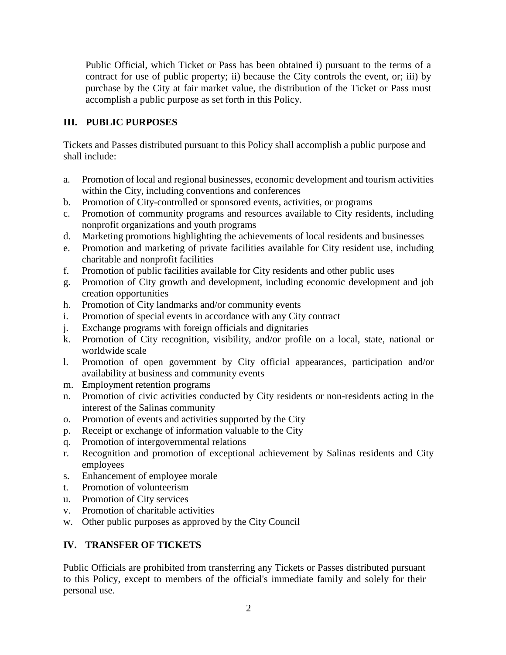Public Official, which Ticket or Pass has been obtained i) pursuant to the terms of a contract for use of public property; ii) because the City controls the event, or; iii) by purchase by the City at fair market value, the distribution of the Ticket or Pass must accomplish a public purpose as set forth in this Policy.

## **III. PUBLIC PURPOSES**

Tickets and Passes distributed pursuant to this Policy shall accomplish a public purpose and shall include:

- a. Promotion of local and regional businesses, economic development and tourism activities within the City, including conventions and conferences
- b. Promotion of City-controlled or sponsored events, activities, or programs
- c. Promotion of community programs and resources available to City residents, including nonprofit organizations and youth programs
- d. Marketing promotions highlighting the achievements of local residents and businesses
- e. Promotion and marketing of private facilities available for City resident use, including charitable and nonprofit facilities
- f. Promotion of public facilities available for City residents and other public uses
- g. Promotion of City growth and development, including economic development and job creation opportunities
- h. Promotion of City landmarks and/or community events
- i. Promotion of special events in accordance with any City contract
- j. Exchange programs with foreign officials and dignitaries
- k. Promotion of City recognition, visibility, and/or profile on a local, state, national or worldwide scale
- l. Promotion of open government by City official appearances, participation and/or availability at business and community events
- m. Employment retention programs
- n. Promotion of civic activities conducted by City residents or non-residents acting in the interest of the Salinas community
- o. Promotion of events and activities supported by the City
- p. Receipt or exchange of information valuable to the City
- q. Promotion of intergovernmental relations
- r. Recognition and promotion of exceptional achievement by Salinas residents and City employees
- s. Enhancement of employee morale
- t. Promotion of volunteerism
- u. Promotion of City services
- v. Promotion of charitable activities
- w. Other public purposes as approved by the City Council

# **IV. TRANSFER OF TICKETS**

Public Officials are prohibited from transferring any Tickets or Passes distributed pursuant to this Policy, except to members of the official's immediate family and solely for their personal use.